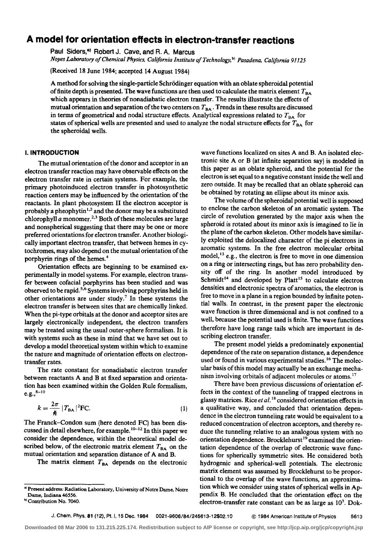# **A model for orientation effects in electron-transfer reactions**

Paul Siders,<sup>a)</sup> Robert J. Cave, and R. A. Marcus

*Noyes Laboratory of Chemical Physics, California Institute of Technology, <sup>b)</sup> Pasadena, California 91125* 

(Received 18 June 1984; accepted 14 August 1984)

A method for solving the single-particle Schrödinger equation with an oblate spheroidal potential of finite depth is presented. The wave functions are then used to calculate the matrix element  $T_{BA}$ which appears in theories of nonadiabatic electron transfer. The results illustrate the effects of mutual orientation and separation of the two centers on  $T_{BA}$ . Trends in these results are discussed in terms of geometrical and nodal structure effects. Analytical expressions related to  $T_{BA}$  for states of spherical wells are presented and used to analyze the nodal structure effects for  $T_{BA}$  for the spheroidal wells. the spheroidal wells.

## I. **INTRODUCTION**

The mutual orientation of the donor and acceptor in an electron transfer reaction may have observable effects on the electron transfer rate in certain systems. For example, the primary photoinduced electron transfer in photosynthetic reaction centers may be influenced by the orientation of the reactants. In plant photosystem II the electron acceptor is probably a pheophytin<sup>1,2</sup> and the donor may be a substituted chlorophyll a monomer.<sup>2,3</sup> Both of these molecules are large and nonspherical suggesting that there may be one or more preferred orientations for electron transfer. Another biologically important electron transfer, that between hemes in cytochromes, may also depend on the mutual orientation of the porphyrin rings of the hemes.<sup>4</sup>

Orientation effects are beginning to be examined experimentally in model systems. For example, electron transfer between cofacial porphyrins has been studied and was observed to be rapid.<sup>5,6</sup> Systems involving porphyrins held in other orientations are under study.<sup>7</sup> In these systems the electron transfer is between sites that are chemically linked. When the pi-type orbitals at the donor and acceptor sites are largely electronically independent, the electron transfers may be treated using the usual outer-sphere formalism. It is with systems such as these in mind that we have set out to develop a model theoretical system within which to examine the nature and magnitude of orientation effects on electrontransfer rates.

The rate constant for nonadiabatic electron transfer between reactants A and B at fixed separation and orientation has been examined within the Golden Rule formalism  $e.g.,<sup>8-10</sup>$ 

$$
k = \frac{2\pi}{\hbar} |T_{BA}|^2 \text{FC.}
$$
 (1)

The Franck-Condon sum (here denoted FC) has been discussed in detail elsewhere, for example.  $10-12$  In this paper we consider the dependence, within the theoretical model described below, of the electronic matrix element  $T_{BA}$  on the mutual orientation and separation distance of A and B.

The matrix element  $T<sub>BA</sub>$  depends on the electronic

wave functions localized on sites A and B. An isolated electronic site  $A$  or  $B$  (at infinite separation say) is modeled in this paper as an oblate spheroid, and the potential for the electron is set equal to a negative constant inside the well and zero outside. It may be recalled that an oblate spheroid can be obtained by rotating an ellipse about its minor axis.

The volume of the spheroidal potential well is supposed to enclose the carbon skeleton of an aromatic system. The circle of revolution generated by the major axis when the spheroid is rotated about its minor axis is imagined to lie in the plane of the carbon skeleton. Other models have similarly exploited the delocalized character of the pi electrons in aromatic systems. In the free electron molecular orbital model,  $^{13}$  e.g., the electron is free to move in one dimension on a ring or intersecting rings, but has zero probability density off of the ring. In another model introduced by Schmidt<sup>14</sup> and developed by Platt<sup>15</sup> to calculate electron densities and electronic spectra of aromatics, the electron is free to move in a plane in a region bounded by infinite potential walls. In contrast, in the present paper the electronic wave function is three dimensional and is not confined to a well, because the potential used is finite. The wave functions therefore have long range tails which are important in describing electron transfer.

The present model yields a predominately exponential dependence of the rate on separation distance, a dependence used or found in various experimental studies.<sup>16</sup> The molecular basis of this model may actually be an exchange mechanism involving orbitals of adjacent molecules or atoms.<sup>17</sup>

There have been previous discussions of orientation effects in the context of the tunneling of trapped electrons in glassy matrices. Rice *eta/.* 18 considered orientation effects in a qualitative way, and concluded that orientation dependence in the electron tunneling rate would be equivalent to a reduced concentration of electron acceptors, and thereby reduce the tunneling relative to an analogous system with no orientation dependence. Brocklehurst<sup>19</sup> examined the orientation dependence of the overlap of electronic wave functions for spherically symmetric sites. He considered both hydrogenic and spherical-well potentials. The electronic matrix element was assumed by Brocklehurst to be proportional to the overlap of the wave functions, an approximation which we consider using states of spherical wells in Appendix B. He concluded that the orientation effect on the electron-transfer rate constant can be as large as  $10^3$ . Dok-

J. Chern. Phys. 81 (12), Pt. I, 15 Dec. 1984 0021-9606/84/245613-12\$02.10 @ 1984 American Institute of Physics 5613

a) Present address: Radiation Laboratory, University of Notre Dame, Notre Dame, Indiana 46556.

b<sub>1</sub> Contribution No. 7040.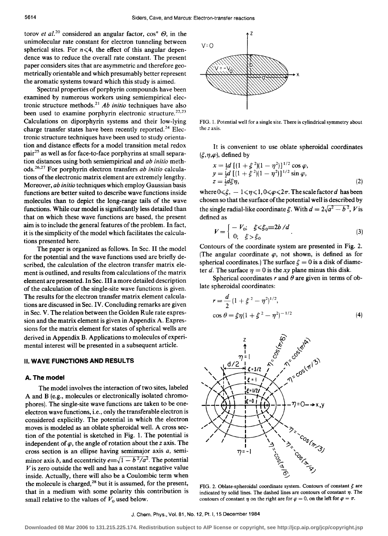torov *et al.*<sup>20</sup> considered an angular factor,  $\cos^n \Theta$ , in the unimolecular rate constant for electron tunneling between spherical sites. For  $n \leq 4$ , the effect of this angular dependence was to reduce the overall rate constant. The present paper considers sites that are asymmetric and therefore geometrically orientable and which presumably better represent the aromatic systems toward which this study is aimed.

Spectral properties of porphyrin compounds have been examined by numerous workers using semiempirical electronic structure methods. <sup>21</sup>*Ab initio* techniques have also been used to examine porphyrin electronic structure.<sup>22,23</sup> Calculations on diporphyrin systems and their low-lying charge transfer states have been recently reported.<sup>24</sup> Electronic structure techniques have been used to study orientation and distance effects for a model transition metal redox pair25 as well as for face-to-face porphyrins at small separation distances using both semiempirical and *ab initio* methods.<sup>26,27</sup> For porphyrin electron transfers *ab initio* calculations of the electronic matrix element are extremely lengthy. Moreover, *ab initio* techniques which employ Gaussian basis functions are better suited to describe wave functions inside molecules than to depict the long-range tails of the wave functions. While our model is significantly less detailed than that on which these wave functions are based, the present aim is to include the general features of the problem. In fact, it is the simplicity of the model which facilitates the calculations presented here.

The paper is organized as follows. In Sec. II the model for the potential and the wave functions used are briefly described, the calculation of the electron transfer matrix element is outlined, and results from calculations of the matrix element are presented. In Sec. III a more detailed description of the calculation of the single-site wave functions is given. The results for the electron transfer matrix element calculations are discussed in Sec. IV. Concluding remarks are given in Sec. V. The relation between the Golden Rule rate expression and the matrix element is given in Appendix A. Expressions for the matrix element for states of spherical wells are derived in Appendix B. Applications to molecules of experimental interest will be presented in a subsequent article.

### II. **WAVE FUNCTIONS AND RESULTS**

# **A. The model**

The model involves the interaction of two sites, labeled A and B (e.g., molecules or electronically isolated chromophores). The single-site wave functions are taken to be oneelectron wave functions, i.e., only the transferable electron is considered explicitly. The potential in which the electron moves is modeled as an oblate spheroidal well. A cross section of the potential is sketched in Fig. 1. The potential is independent of  $\varphi$ , the angle of rotation about the *z* axis. The cross section is an ellipse having semimajor axis *a,* semiminor axis *b*, and eccentricity  $e \equiv \sqrt{1 - b^2/a^2}$ . The potential  $V$  is zero outside the well and has a constant negative value inside. Actually, there will also be a Coulombic term when the molecule is charged,  $28$  but it is assumed, for the present, that in a medium with some polarity this contribution is small relative to the values of  $V_0$  used below.



FIG. I. Potential well for a single site. There is cylindrical symmetry about the *z* axis.

It is convenient to use oblate spheroidal coordinates  $(\xi, \eta, \varphi)$ , defined by

$$
x = \frac{1}{2}d \left[ (1 + \xi^2)(1 - \eta^2) \right]^{1/2} \cos \varphi,
$$
  
\n
$$
y = \frac{1}{2}d \left[ (1 + \xi^2)(1 - \eta^2) \right]^{1/2} \sin \varphi,
$$
  
\n
$$
z = \frac{1}{2}d\xi \eta,
$$
\n(2)

where  $0 \le \xi$ ,  $-1 \le \eta \le 1$ ,  $0 \le \varphi \le 2\pi$ . The scale factor d has been chosen so that the surface of the potential well is described by the single radial-like coordinate  $\xi$ . With  $d = 2\sqrt{a^2 - b^2}$ , V is defined as

$$
V = \begin{cases} -V_0; & \text{if } \leq 5_0 = 2b/d \\ 0; & \text{if } > 5_0 \end{cases} (3)
$$

Contours of the coordinate system are presented in Fig. 2. (The angular coordinate  $\varphi$ , not shown, is defined as for spherical coordinates.) The surface  $\xi = 0$  is a disk of diameter d. The surface  $\eta = 0$  is the xy plane minus this disk.

Spherical coordinates r and  $\theta$  are given in terms of oblate spheroidal coordinates:

$$
r = \frac{d}{2} (1 + \xi^2 - \eta^2)^{1/2},
$$
  
\n
$$
\cos \theta = \xi \eta (1 + \xi^2 - \eta^2)^{-1/2}
$$
\n(4)



FIG. 2. Oblate-spheroidal coordinate system. Contours of constant *5* are indicated by solid lines. The dashed lines are contours of constant  $\eta$ . The contours of constant  $\eta$  on the right are for  $\varphi = 0$ , on the left for  $\varphi = \pi$ .

J. Chern. Phys., Vol. 81, No. 12, Pt. I, 15 December 1984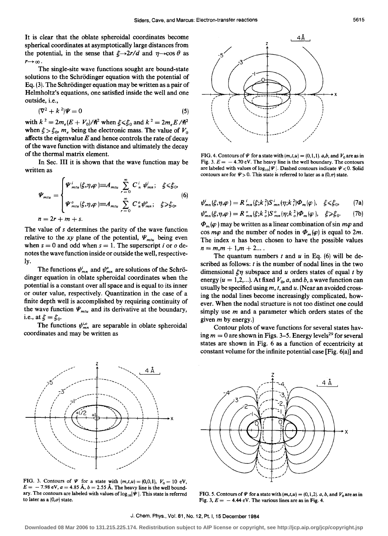It is clear that the oblate spheroidal coordinates become spherical coordinates at asymptotically large distances from the potential, in the sense that  $\xi \rightarrow 2r/d$  and  $\eta \rightarrow \cos \theta$  as  $r\rightarrow\infty$ .

The single-site wave functions sought are bound-state solutions to the Schrödinger equation with the potential of Eq. (3). The Schrodinger equation may be written as a pair of Helmholtz's equations, one satisfied inside the well and one outside, i.e.,

$$
(\nabla^2 + k^2)\Psi = 0\tag{5}
$$

with  $k^2 = 2m_e(E + V_0)/\hbar^2$  when  $\xi \le \xi_0$  and  $k^2 = 2m_e E/\hbar^2$ when  $\xi > \xi_0$ ,  $m_e$  being the electronic mass. The value of  $V_0$ affects the eigenvalue *E* and hence controls the rate of decay of the wave function with distance and ultimately the decay of the thermal matrix element.

In Sec. III it is shown that the wave function may be written as

$$
\Psi_{\min} = \begin{cases} \Psi_{\min}^i(\xi, \eta, \varphi) \equiv A_{\min} \sum_{r=0}^{\infty} C_n^i \psi_{\min}^i; & \xi \leq \xi_0, \\ \Psi_{\min}^o(\xi, \eta, \varphi) \equiv A_{\min} \sum_{r=0}^{\infty} C_n^o \psi_{\min}^o; & \xi \geq \xi_0, \\ n = 2r + m + s. \end{cases} (6)
$$

The value of *s* determines the parity of the wave function relative to the xy plane of the potential,  $\Psi_{m t u}$  being even when  $s = 0$  and odd when  $s = 1$ . The superscript i or  $o$  denotes the wave function inside or outside the well, respectively.

The functions  $\psi^i_{mn}$  and  $\psi^o_{mn}$  are solutions of the Schrödinger equation in oblate spheroidal coordinates when the potential is a constant over all space and is equal to its inner or outer value, respectively. Quantization in the case of a finite depth well is accomplished by requiring continuity of the wave function  $\Psi_{\mu\mu\nu}$  and its derivative at the boundary, i.e., at  $\xi = \xi_0$ .

The functions  $\psi_{mn}^{i,o}$  are separable in oblate spheroidal coordinates and may be written as



FIG. 4. Contours of  $\Psi$  for a state with  $(m,t,u) = (0,1,1)$ . a,b, and  $V_0$  are as in Fig. 3.  $E = -4.70 \text{ eV}$ . The heavy line is the well boundary. The contours are labeled with values of  $log_{10}|\Psi|$ . Dashed contours indicate  $\Psi$  < 0. Solid contours are for  $\Psi > 0$ . This state is referred to later as a  $(0, \pi)$  state.

$$
\psi_{mn}^{i}(\xi,\eta,\varphi)=R_{mn}^{i}(\xi;k_{i}^{2})S_{mn}^{i}(\eta;k_{i}^{2})\Phi_{m}(\varphi),\quad\xi\leq \xi_{0},\qquad(7a)
$$

$$
\psi_{mn}^o(\xi,\eta,\varphi)=R_{mn}^o(\xi;k^2)\mathcal{S}_{mn}^o(\eta;k^2)\Phi_m(\varphi),\quad \xi\geqslant \xi_0. \tag{7b}
$$

 $\Phi_m(\varphi)$  may be written as a linear combination of sin  $m\varphi$  and cos  $m\varphi$  and the number of nodes in  $\Phi_m(\varphi)$  is equal to 2m. The index *n* has been chosen to have the possible values  $n = m, m + 1, m + 2...$ 

The quantum numbers  $t$  and  $u$  in Eq. (6) will be described as follows:  $t$  is the number of nodal lines in the two dimensional  $\xi \eta$  subspace and u orders states of equal t by energy ( $u = 1,2,...$ ). At fixed  $V_0$ , a, and b, a wave function can usually be specified using *m, t,* and *u.* (Near an avoided crossing the nodal lines become increasingly complicated, however. When the nodal structure is not too distinct one could simply use *m* and a parameter which orders states of the given *m* by energy.)

Contour plots of wave functions for several states having  $m = 0$  are shown in Figs. 3–5. Energy levels<sup>29</sup> for several states are shown in Fig. 6 as a function of eccentricity at constant volume for the infinite potential case [Fig. 6(a)] and



FIG. 3. Contours of  $\Psi$  for a state with  $(m,t,u) = (0,0,1)$ ,  $V_0 = 10$  eV,  $E = -7.98$  eV,  $a = 4.85$  Å,  $b = 2.55$  Å. The heavy line is the well boundary. The contours are labeled with values of  $log_{10}|\Psi|$ . This state is referred to later as a  $(0, \sigma)$  state.



FIG. 5. Contours of  $\Psi$  for a state with  $(m,t,u) = (0,1,2)$ . a, b, and  $V_0$  are as in Fig. 3,  $E = -4.44$  eV. The various lines are as in Fig. 4.

**Downloaded 08 Mar 2006 to 131.215.225.174. Redistribution subject to AIP license or copyright, see http://jcp.aip.org/jcp/copyright.jsp**

J. Chern. Phys., Vol. 81, No. 12, Pt. I, 15 December 1984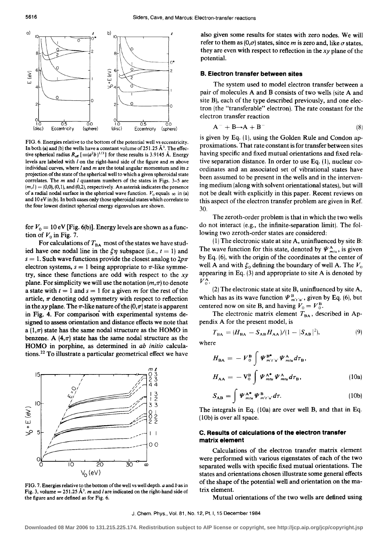

FIG. 6. Energies relative to the bottom of the potential well vs eccentricity. In both (a) and (b) the wells have a constant volume of 251.25  $\AA^3$ . The effective spherical radius  $R_{\text{eff}}$  [ $\equiv (a^2b)^{1/3}$ ] for these results is 3.9145 Å. Energy levels are labeled with l on the right-hand side of the figure and *m* above individual curves, where  $l$  and  $m$  are the total angular momentum and its  $z$ projection of the state of the spherical well to which a given spheroidal state correlates. The *m* and *l* quantum numbers of the states in Figs. 3–5 are  $(m,l) = (0,0), (0,1)$ , and  $(0,2)$ , respectively. An asterisk indicates the presence of a radial nodal surface in the spherical wave function.  $V_0$  equals  $\infty$  in (a) and 10 eV in (b). In both cases only those spheroidal states which correlate to the four lowest distinct spherical energy eigenvalues are shown.

for  $V_0 = 10$  eV [Fig. 6(b)]. Energy levels are shown as a function of  $V_0$  in Fig. 7.

For calculations of  $T_{BA}$  most of the states we have studied have one nodal line in the  $\xi \eta$  subspace (i.e.,  $t = 1$ ) and  $s = 1$ . Such wave functions provide the closest analog to  $2p\pi$ electron systems,  $s = 1$  being appropriate to  $\pi$ -like symmetry, since these functions are odd with respect to the *xy*  plane. For simplicity we will use the notation  $(m,\pi)$  to denote a state with  $t = 1$  and  $s = 1$  for a given *m* for the rest of the article,  $\pi$  denoting odd symmetry with respect to reflection in the xy plane. The  $\pi$ -like nature of the  $(0, \pi)$  state is apparent in Fig. 4. For comparison with experimental systems designed to assess orientation and distance effects we note that a  $(1,\pi)$  state has the same nodal structure as the HOMO in benzene. A  $(4,\pi)$  state has the same nodal structure as the HOMO in porphine, as determined in *ab initio* calculations.<sup>22</sup> To illustrate a particular geometrical effect we have



FIG. 7. Energies relative to the bottom of the well vs well depth. *a* and bas in Fig. 3, volume =  $251.25 \text{ Å}^3$ . *m* and *l* are indicated on the right-hand side of the figure and are defined as for Fig. 6.

also given some results for states with zero nodes. We will refer to them as  $(0, \sigma)$  states, since *m* is zero and, like  $\sigma$  states, they are even with respect to reflection in the *xy* plane of the potential.

# **B. Electron transfer between sites**

The system used to model electron transfer between a pair of molecules A and B consists of two wells (site A and site B), each of the type described previously, and one electron (the "transferable" electron). The rate constant for the electron transfer reaction

$$
\mathbf{A}^- + \mathbf{B} \rightarrow \mathbf{A} + \mathbf{B}^- \tag{8}
$$

is given by Eq.  $(1)$ , using the Golden Rule and Condon approximations. That rate constant is for transfer between sites having specific and fixed mutual orientations and fixed relative separation distance. In order to use Eq. (1), nuclear coordinates and an associated set of vibrational states have been assumed to be present in the wells and in the intervening medium (along with solvent orientational states), but will not be dealt with explicitly in this paper. Recent reviews on this aspect of the electron transfer problem are given in Ref. 30.

The zeroth-order problem is that in which the two wells do not interact (e.g., the infinite-separation limit). The following two zeroth-order states are considered:

(1) The electronic state at site A, uninfluenced by site  $B$ : The wave function for this state, denoted by  $\Psi_{mu}^{A}$ , is given by Eq. (6), with the origin of the coordinates at the center of well A and with  $\xi_0$  defining the boundary of well A. The  $V_0$ appearing in Eq. (3) and appropriate to site A is denoted by  $V_0^{\rm A}$ .

(2) The electronic state at site B, uninfluenced by site A, which has as its wave function  $\Psi_{m'i'u'}^B$ , given by Eq. (6), but centered now on site B, and having  $V_0 = V_0^B$ .

The electronic matrix element  $T_{BA}$ , described in Appendix A for the present model, is

$$
T_{BA} = (H_{BA} - S_{AB}H_{AA})/(1 - |S_{AB}|^2),
$$
\n(9)

where

$$
H_{BA} = -V_0^B \int \Psi_{m'i'u'}^{B^*} \Psi_{mru}^A d\tau_B,
$$
  

$$
H_{AA} = -V_0^B \int \Psi_{mtu}^{A^*} \Psi_{mtu}^A d\tau_B,
$$
 (10a)

$$
S_{AB} = \int \Psi_{m t u}^{A^*} \Psi_{m' t' u'}^{B} d\tau.
$$
 (10b)

The integrals in Eq. (lOa) are over well B, and that in Eq. (lOb) is over all space.

# **C. Results of calculations of the electron transfer matrix element**

Calculations of the electron transfer matrix element were performed with various eigenstates of each of the two separated wells with specific fixed mutual orientations. The states and orientations chosen illustrate some general effects of the shape of the potential well and orientation on the matrix element.

Mutual orientations of the two wells are defined using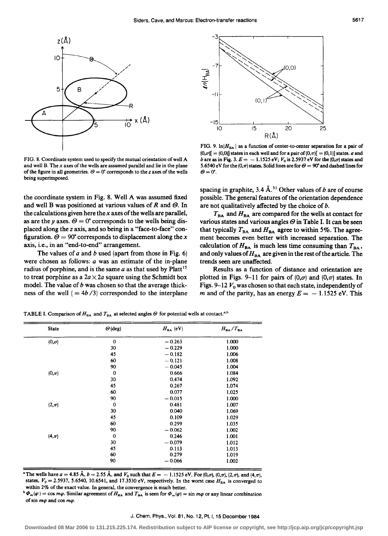

FIG. 8. Coordinate system used to specify the mutual orientation of well A and well B. The *x* axes of the wells are assumed parallel and lie in the plane of the figure in all geometries.  $\Theta = 0^{\circ}$  corresponds to the *z* axes of the wells being superimposed.

the coordinate system in Fig. 8. Well A was assumed fixed and well B was positioned at various values of  $R$  and  $\Theta$ . In the calculations given here the *x* axes of the wells are parallel, as are the y axes.  $\Theta = 0^{\circ}$  corresponds to the wells being displaced along the *z* axis, and so being in a "face-to-face" configuration.  $\Theta = 90^{\circ}$  corresponds to displacement along the x axis, i.e., in an "end-to-end" arrangement.

The values of  $a$  and  $b$  used (apart from those in Fig. 6) were chosen as follows: *a* was an estimate of the in-plane radius of porphine, and is the same  $a$  as that used by  $Platt^{15}$ to treat porphine as a  $2a \times 2a$  square using the Schmidt box model. The value of  $b$  was chosen so that the average thickness of the well  $( = 4b/3)$  corresponded to the interplane



FIG. 9.  $ln|H_{BA}|$  as a function of center-to-center separation for a pair of  $(0,\sigma)$ [ =  $(0,0)$ ] states in each well and for a pair of  $(0,\pi)$ [ =  $(0,1)$ ] states. *a* and b are as in Fig. 3.  $E = -1.1525 \text{ eV}$ ;  $V_0$  is 2.5937 eV for the  $(0,\sigma)$  states and 5.6540 eV for the  $(0, \pi)$  states. Solid lines are for  $\Theta = 90^{\circ}$  and dashed lines for  $\theta = 0$ ".

spacing in graphite, 3.4 Å.<sup>31</sup> Other values of b are of course possible. The general features of the orientation dependence are not qualitatively affected by the choice of  $b$ .

 $T<sub>BA</sub>$  and  $H<sub>BA</sub>$  are compared for the wells at contact for various states and various angles  $\Theta$  in Table I. It can be seen that typically  $T_{BA}$  and  $H_{BA}$  agree to within 5%. The agreement becomes even better with increased separation. The calculation of  $H_{BA}$  is much less time consuming than  $T_{BA}$ , and only values of  $H_{BA}$  are given in the rest of the article. The trends seen are unaffected.

Results as a function of distance and orientation are plotted in Figs. 9-11 for pairs of  $(0,\sigma)$  and  $(0,\pi)$  states. In Figs. 9-12  $V_0$  was chosen so that each state, independently of *m* and of the parity, has an energy  $E = -1.1525$  eV. This

| <b>State</b> | $\Theta$ (deg) | $H_{BA}$ (eV) | $H_{BA}/T_{BA}$ |
|--------------|----------------|---------------|-----------------|
| $(0,\sigma)$ | $\mathbf 0$    | $-0.263$      | 1.000           |
|              | 30             | $-0.229$      | 1.000           |
|              | 45             | $-0.182$      | 1.006           |
|              | 60             | $-0.121$      | 1.008           |
|              | 90             | $-0.045$      | 1.004           |
| $(0,\pi)$    | $\mathbf 0$    | 0.666         | 1.084           |
|              | 30             | 0.474         | 1.092           |
|              | 45             | 0.267         | 1.074           |
|              | 60             | 0.077         | 1.025           |
|              | 90             | $-0.015$      | 1.000           |
| $(2,\pi)$    | $\mathbf 0$    | 0.481         | 1.007           |
|              | 30             | 0.040         | 1.069           |
|              | 45             | 0.109         | 1.029           |
|              | 60             | 0.299         | 1.035           |
|              | 90             | $-0.062$      | 1.002           |
| $(4, \pi)$   | $\bf{0}$       | 0.246         | 1.001           |
|              | 30             | $-0.079$      | 1.012           |
|              | 45             | 0.113         | 1.013           |
|              | 60             | 0.279         | 1.019           |
|              | 90             | $-0.066$      | 1.002           |

TABLE I. Comparison of  $H_{BA}$  and  $T_{BA}$  at selected angles  $\Theta$  for potential wells at contact.<sup>a,b</sup>

<sup>a</sup> The wells have  $a = 4.85$  Å,  $b = 2.55$  Å, and  $V_0$  such that  $E = -1.1525$  eV. For (0, $\sigma$ ), (0, $\pi$ ), (2, $\pi$ ), and (4, $\pi$ ), states,  $V_0 = 2.5937$ , 5.6540, 10.6541, and 17.3530 eV, respectively. In the worst case  $H_{BA}$  is converged to within  $2\%$  of the exact value. In general, the convergence is much better.

 $\Phi^* \Phi_m(\varphi) = \cos m\varphi$ . Similar agreement of  $H_{BA}$  and  $T_{BA}$  is seen for  $\Phi_m(\varphi) = \sin m\varphi$  or any linear combination of sin  $m\varphi$  and cos  $m\varphi$ .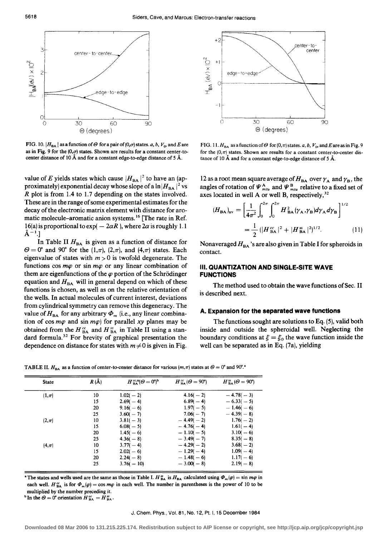

FIG. 10.  $|H_{BA}|$  as a function of  $\Theta$  for a pair of  $(0,\sigma)$  states. *a, b, V<sub>0</sub>*, and E are as in Fig. 9 for the  $(0,\sigma)$  states. Shown are results for a constant center-tocenter distance of 10 Å and for a constant edge-to-edge distance of 5 Å.

value of  $E$  yields states which cause  $|H_{\rm BA}|^2$  to have an (approximately) exponential decay whose slope of a  $\ln |H_{\rm BA}|^2$  vs *R* plot is from 1.4 to 1.7 depending on the states involved. These are in the range of some experimental estimates for the decay of the electronic matrix element with distance for aromatic molecule-aromatic anion systems. 16 [The rate in Ref. 16(a) is proportional to  $\exp(-2\alpha R)$ , where  $2\alpha$  is roughly 1.1  $\AA^{-1}$ .]

In Table II  $H_{BA}$  is given as a function of distance for  $\Theta = 0^{\circ}$  and 90° for the  $(1,\pi)$ ,  $(2,\pi)$ , and  $(4,\pi)$  states. Each eigenvalue of states with  $m > 0$  is twofold degenerate. The functions cos  $m\varphi$  or sin  $m\varphi$  or any linear combination of them are eigenfunctions of the  $\varphi$  portion of the Schrödinger equation and  $H<sub>BA</sub>$  will in general depend on which of these functions is chosen, as well as on the relative orientation of the wells. In actual molecules of current interest, deviations from cylindrical symmetry can remove this degeneracy. The value of  $H_{BA}$  for any arbitrary  $\Phi_m$  (i.e., any linear combination of cos  $m\varphi$  and sin  $m\varphi$ ) for parallel xy planes may be obtained from the  $H_{BA}^{cc}$  and  $H_{BA}^{ss}$  in Table II using a standard formula.<sup>32</sup> For brevity of graphical presentation the dependence on distance for states with  $m \neq 0$  is given in Fig.



FIG. 11.  $H_{BA}$  as a function of  $\Theta$  for  $(0, \pi)$  states. *a*, *b*,  $V_0$ , and *E* are as in Fig. 9 for the  $(0,\pi)$  states. Shown are results for a constant center-to-center distance of 10 Å and for a constant edge-to-edge distance of 5 Å.

12 as a root mean square average of  $H_{BA}$  over  $\gamma_A$  and  $\gamma_B$ , the angles of rotation of  $\Psi_{mu}^{A}$  and  $\Psi_{mu}^{B}$  relative to a fixed set of axes located in well A or well B, respectively,  $32$ 

$$
(H_{BA})_{av} = \left[\frac{1}{4\pi^2} \int_0^{2\pi} \int_0^{2\pi} H_{BA}^2 (\gamma_A, \gamma_B) d\gamma_A d\gamma_B \right]^{1/2}
$$

$$
= \frac{1}{2} (|H_{BA}^{cc}|^2 + |H_{BA}^{ss}|^2)^{1/2}.
$$
 (11)

Nonaveraged  $H_{BA}$ 's are also given in Table I for spheroids in contact.

# Ill. **QUANTIZATION AND SINGLE-SITE WAVE FUNCTIONS**

The method used to obtain the wave functions of Sec. II is described next.

#### **A. Expansion for the separated wave functions**

The functions sought are solutions to Eq. (5), valid both inside and outside the spheroidal well. Neglecting the boundary conditions at  $\xi = \xi_0$  the wave function inside the well can be separated as in Eq. (7a), yielding

TABLE II.  $H_{BA}$  as a function of center-to-center distance for various (m,  $\pi$ ) states at  $\Theta = 0^\circ$  and 90°.

| <b>State</b> | $R(\AA)$ | $H_{BA}^{cc, ss}(\Theta = 0^{\circ})^b$ | $H_{\text{BA}}^{cc}(\Theta = 90^{\circ})$ | $H_{BA}^{ss}(\Theta = 90^{\circ})$ |
|--------------|----------|-----------------------------------------|-------------------------------------------|------------------------------------|
| $(1,\pi)$    | 10       | $1.02(-2)$                              | $4.16(-2)$                                | $-4.78(-3)$                        |
|              | 15       | $2.69(-4)$                              | $6.89(-4)$                                | $-6.33(-5)$                        |
|              | 20       | $9.16(-6)$                              | $1.97(-5)$                                | $-1.46(-6)$                        |
|              | 25       | $3.60(-7)$                              | $7.06(-7)$                                | $-4.39(-8)$                        |
| $(2,\pi)$    | 10       | $3.81(-3)$                              | $-4.49(-2)$                               | $1.76(-2)$                         |
|              | 15       | $6.08(-5)$                              | $-4.76(-4)$                               | $1.61(-4)$                         |
|              | 20       | $1.45(-6)$                              | $-1.10(-5)$                               | $3.10(-6)$                         |
|              | 25       | $4.36(-8)$                              | $-3.49(-7)$                               | $8.35(-8)$                         |
| $(4,\pi)$    | 10       | $3.77(-4)$                              | $-4.29(-2)$                               | $3.68(-2)$                         |
|              | 15       | $2.02(-6)$                              | $-1.29(-4)$                               | $1.09(-4)$                         |
|              | 20       | $2.24(-8)$                              | $-1.48(-6)$                               | $1.17(-6)$                         |
|              | 25       | $3.76(-10)$                             | $-3.00(-8)$                               | $2.19(-8)$                         |

"The states and wells used are the same as those in Table I.  $H_{BA}^{ss}$  is  $H_{BA}$  calculated using  $\Phi_m(\varphi) = \sin m\varphi$  in each well.  $H_{BA}^{cc}$  is for  $\Phi_m(\varphi) = \cos m\varphi$  in each well. The number in parentheses is the power of 10 to be multiplied by the number preceding it.

<sup>b</sup>In the  $\Theta = 0^{\circ}$  orientation  $H_{BA}^{cc} = H_{BA}^{ss}$ .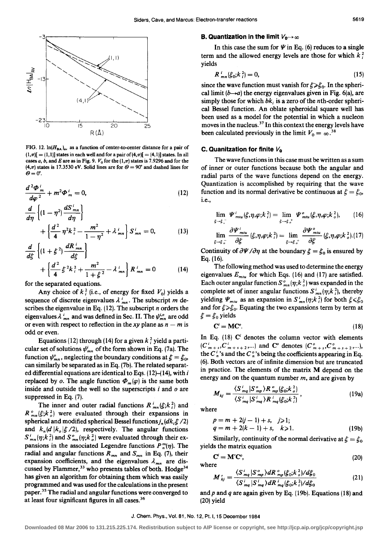

FIG. 12.  $ln(H_{BA})_{av}$  as a function of center-to-center distance for a pair of  $(1,\pi)$ [ = (1,1)] states in each well and for a pair of (4, $\pi$ )[ = (4,1)] states. In all cases *a*, *b*, and *E* are as in Fig. 9.  $V_0$  for the  $(1,\pi)$  states is 7.9296 and for the (4, $\pi$ ) states is 17.3530 eV. Solid lines are for  $\Theta = 90^\circ$  and dashed lines for  $\theta = 0$ <sup>o</sup>.

$$
\frac{d^2\Phi_m^i}{d\varphi^2} + m^2\Phi_m^i = 0, \qquad (12)
$$

$$
\frac{d}{d\eta} \left\{ (1 - \eta^2) \frac{dS_{mn}}{d\eta} \right\} + \left\{ \frac{d^2}{4} \eta^2 k_i^2 - \frac{m^2}{1 - \eta^2} + \lambda_{mn}^i \right\} S_{mn}^i = 0, \quad (13)
$$

$$
\frac{d}{d\xi} \left\{ (1 + \xi^2) \frac{dR_{mn}}{d\xi} \right\} + \left\{ \frac{d^2}{4} \xi^2 k_i^2 + \frac{m^2}{1 + \xi^2} - \lambda_{mn}^i \right\} R_{mn}^i = 0 \qquad (14)
$$

for the separated equations.

Any choice of  $k_i^2$  (i.e., of energy for fixed  $V_0$ ) yields a sequence of discrete eigenvalues  $\lambda_{mn}^i$ . The subscript m describes the eigenvalue in Eq. (12). The subscript *n* orders the eigenvalues  $\lambda_{mn}^{i}$  and was defined in Sec. II. The  $\psi_{mn}^{i,o}$  are odd or even with respect to reflection in the xy plane as  $n - m$  is odd or even.

Equations (12) through (14) for a given  $k_i^2$  yield a particular set of solutions  $\psi_{mn}^i$  of the form shown in Eq. (7a). The function  $\psi_{mn}^{\circ}$ , neglecting the boundary conditions at  $\xi = \xi_0$ , can similarly be separated as in Eq. (7b). The related separated differential equations are identical to Eqs. (12)-{14), with *i*  replaced by *o*. The angle function  $\Phi_m(\varphi)$  is the same both inside and outside the well so the superscripts i and *o* are suppressed in Eq. (7).

The inner and outer radial functions  $R_{mn}^i(\xi;k_i^2)$  and  $R_{mn}^{\circ}(\xi; k_o^2)$  were evaluated through their expansions in spherical and modified spherical Bessel functions  $j_n(dk,\xi/2)$ and  $k_n(d \mid k_0 \mid \xi / 2)$ , respectively. The angular functions  $S_{mn}^i(\eta;k_i^2)$  and  $S_{mn}^o(\eta;k_o^2)$  were evaluated through their expansions in the associated Legendre functions  $P_n^m(\eta)$ . The radial and angular functions  $R_{mn}$  and  $S_{mn}$  in Eq. (7), their expansion coefficients, and the eigenvalues  $\lambda_{mn}$  are discussed by Flammer,<sup>33</sup> who presents tables of both. Hodge<sup>34</sup> has given an algorithm for obtaining them which was easily programmed and was used for the calculations in the present paper.<sup>35</sup> The radial and angular functions were converged to at least four significant figures in all cases. 36

### **B. Quantization in the limit**  $V_0 \rightarrow \infty$

In this case the sum for  $\Psi$  in Eq. (6) reduces to a single term and the allowed energy levels are those for which  $k_i^2$ yields

$$
R_{mn}^i(\xi_0; k_i^2) = 0,\t\t(15)
$$

since the wave function must vanish for  $\xi \geq \xi_0$ . In the spherical limit  $(b \rightarrow a)$  the energy eigenvalues given in Fig. 6(a), are simply those for which *bk;* is a zero of the nth-order spherical Bessel function. An oblate spheroidal square well has been used as a model for the potential in which a nucleon moves in the nucleus. 37 In this context the energy levels have been calculated previously in the limit  $V_0 = \infty$ .<sup>38</sup>

#### **C. Quanitzation for finite**  $V_0$

The wave functions in this case must be written as a sum of inner or outer functions because both the angular and radial parts of the wave functions depend on the energy. Quantization is accomplished by requiring that the wave function and its normal derivative be continuous at  $\xi = \xi_0$ , i.e.,

$$
\lim_{\xi \to \xi_{\sigma}^{-}} \Psi_{mu}^{i}(\xi, \eta, \varphi; k_{i}^{2}) = \lim_{\xi \to \xi_{\sigma}^{+}} \Psi_{mu}^{o}(\xi, \eta, \varphi; k_{o}^{2}), \qquad (16)
$$
\n
$$
\lim_{\xi \to \xi_{\sigma}^{-}} \frac{\partial \Psi_{mu}^{i}}{\partial \xi} (\xi, \eta, \varphi; k_{i}^{2}) = \lim_{\xi \to \xi_{\sigma}^{+}} \frac{\partial \Psi_{mu}^{o}}{\partial \xi} (\xi, \eta, \varphi; k_{o}^{2}). (17)
$$

Continuity of  $\partial\Psi/\partial\eta$  at the boundary  $\xi = \xi_0$  is ensured by Eq. (16).

The following method was used to determine the energy eigenvalues  $E_{mix}$  for which Eqs. (16) and (17) are satisfied. Each outer angular function  $S^{\circ}_{mn}(\eta; k^2)$  was expanded in the complete set of inner angular functions  $S_{mn}^i(\eta; k_i^2)$ , thereby yielding  $\Psi_{mu}$  as an expansion in  $S_{mn}^i(\eta;k_i^2)$  for both  $\xi \leq \xi_0$ and for  $\xi \gg \xi_0$ . Equating the two expansions term by term at  $\xi = \xi_0$  yields

$$
C' = MC'.
$$
 (18)

In Eq.  $(18)$  C<sup>i</sup> denotes the column vector with elements  $(C<sup>i</sup>_{m+s}, C<sup>i</sup>_{m+s+2},...)$  and  $C<sup>o</sup>$  denotes  $(C<sup>o</sup>_{m+s}, C<sup>o</sup>_{m+s+2},...)$ the  $C_n^i$ 's and the  $C_n^o$ 's being the coefficients appearing in Eq. (6). Both vectors are of infinite dimension but are truncated in practice. The elements of the matrix M depend on the energy and on the quantum number *m,* and are given by

$$
M_{kj} = \frac{\langle S_{mq}^i | S_{mp}^o \rangle R_{mp}^o(\xi_0; k_o^2)}{\langle S_{mq}^i | S_{mq}^i \rangle R_{mq}^i(\xi_0; k_i^2)},
$$
(19a)

where

$$
p = m + 2(j - 1) + s, \quad j \ge 1; q = m + 2(k - 1) + s, \quad k \ge 1.
$$
 (19b)

Similarly, continuity of the normal derivative at  $\xi = \xi_0$ yields the matrix equation

$$
\mathbf{C}^i = \mathbf{M}' \mathbf{C}^o, \tag{20}
$$
 where

$$
M'_{kj} = \frac{\langle S^i_{mq} | S^o_{mp} \rangle dR^o_{mp} \langle \xi_0; k^2 \rangle / d\xi_0}{\langle S^i_{mq} | S^i_{mq} \rangle dR^i_{mq} \langle \xi_0; k^2 \rangle / d\xi_0}
$$
(21)

and *p* and *q* are again given by Eq. (19b). Equations (18) and (20) yield

#### J. Chem. Phys., Vol. 81, No. 12, Pt. I, 15 December 1984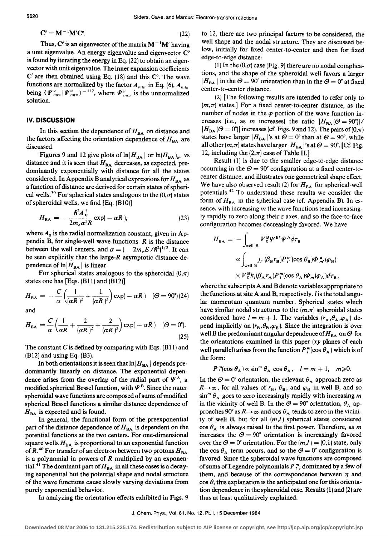$$
\mathbf{C}^{\circ} = \mathbf{M}^{-1} \mathbf{M}' \mathbf{C}^{\circ}.\tag{22}
$$

Thus,  $C^o$  is an eigenvector of the matrix  $M^{-1}M'$  having a unit eigenvalue. An energy eigenvalue and eigenvector  $C^{\circ}$ is found by iterating the energy in Eq. (22) to obtain an eigenvector with unit eigenvalue. The inner expansion coefficients  $C<sup>i</sup>$  are then obtained using Eq. (18) and this  $C<sup>o</sup>$ . The wave functions are normalized by the factor  $A_{mu}$  in Eq. (6),  $A_{mu}$ being  $\langle \Psi_{mu}^{u} | \Psi_{mu}^{u} \rangle$  - 1/2, where  $\Psi_{mu}^{u}$  is the unnormalized solution.

### **IV. DISCUSSION**

In this section the dependence of  $H_{BA}$  on distance and the factors affecting the orientation dependence of  $H_{BA}$  are discussed.

Figures 9 and 12 give plots of  $\ln |H_{\rm BA}|$  or  $\ln |H_{\rm BA}|_{\rm av}$  vs distance and it is seen that  $H_{BA}$  decreases, as expected, predominantly exponentially with distance for all the states considered. In Appendix B analytical expressions for  $H_{BA}$  as a function of distance are derived for certain states of spherical wells.<sup>39</sup> For spherical states analogous to the  $(0,\sigma)$  states of spheroidal wells, we find [Eq. (BlO)]

$$
H_{\text{BA}} = -\frac{\hbar^2 A_0^2}{2m_e \alpha^2 R} \exp(-\alpha R), \qquad (23)
$$

where  $A_0$  is the radial normalization constant, given in Appendix B, for single-well wave functions. *R* is the distance between the well centers, and  $\alpha = (-2m_eE/\hbar^2)^{1/2}$ . It can be seen explicitly that the large- $R$  asymptotic distance dependence of  $\ln |H_{BA}|$  is linear.

For spherical states analogous to the spheroidal  $(0, \pi)$ states one has [Eqs. (B11) and (B12)]

$$
H_{BA} = -\frac{C}{\alpha} \left( \frac{1}{(\alpha R)^2} + \frac{1}{(\alpha R)^3} \right) \exp(-\alpha R) \quad (\Theta = 90^\circ)(24)
$$

and

$$
H_{\text{BA}} = \frac{C}{\alpha} \left( \frac{1}{\alpha R} + \frac{2}{(\alpha R)^2} + \frac{2}{(\alpha R)^3} \right) \exp(-\alpha R) \quad (\Theta = 0^\circ).
$$
\n(25)

The constant C is defined by comparing with Eqs.  $(B11)$  and (B12) and using Eq. (B3).

In both orientations it is seen that  $\ln|H_{\rm BA}|$  depends predominantly linearly on distance. The exponential dependence arises from the overlap of the radial part of  $\Psi^A$ , a modified spherical Bessel function, with  $\Psi^B$ . Since the outer spheroidal wave functions are composed of sums of modified spherical Bessel functions a similar distance dependence of  $H_{BA}$  is expected and is found.

In general, the functional form of the preexponential part of the distance dependence of  $H_{BA}$  is dependent on the potential functions at the two centers. For one-dimensional square wells  $H_{BA}$  is proportional to an exponential function of  $R^{40}$  For transfer of an electron between two protons  $H_{BA}$ is a polynomial in powers of *R* multiplied by an exponential.<sup>41</sup> The dominant part of  $H_{BA}$  in all these cases is a decaying exponential but the potential shape and nodal structure of the wave functions cause slowly varying deviations from purely exponential behavior.

In analyzing the orientation effects exhibited in Figs. 9

to 12, there are two principal factors to be considered, the well shape and the nodal structure. They are discussed below, initially for fixed center-to-center and then for fixed edge-to-edge distance:

(1) In the  $(0,\sigma)$  case (Fig. 9) there are no nodal complications, and the shape of the spheroidal well favors a larger  $|H_{BA}|$  in the  $\Theta = 90^{\circ}$  orientation than in the  $\Theta = 0^{\circ}$  at fixed center-to-center distance.

(2) [The following results are intended to refer only to  $(m,\pi)$  states.] For a fixed center-to-center distance, as the number of nodes in the  $\varphi$  portion of the wave function increases (i.e., as *m* increases) the ratio  $|H_{BA}(\Theta = 90^{\circ})|$ /  $|H_{BA}(\Theta = 0^{\circ})|$  increases (cf. Figs. 9 and 12). The pairs of  $(0,\pi)$ states have larger  $|H_{BA}|$ 's at  $\Theta = 0$ ° than at  $\Theta = 90$ °, while all other  $(m,\pi)$  states have larger  $|H_{BA}|$ 's at  $\Theta = 90^{\circ}$ . [Cf. Fig. 12, including the  $(2,\pi)$  case of Table II.]

Result  $(1)$  is due to the smaller edge-to-edge distance occurring in the  $\Theta = 90^{\circ}$  configuration at a fixed center-tocenter distance, and illustrates one geometrical shape effect. We have also observed result (2) for  $H_{BA}$  for spherical-well potentials. 42 To understand these results we consider the form of  $H_{BA}$  in the spherical case (cf. Appendix B). In essence, with increasing *m* the wave functions tend increasingly rapidly to zero along their *z* axes, and so the face-to-face configuration becomes decreasingly favored. We have

$$
H_{BA} = -\int_{\text{well B}} V_0^B \Psi^{B*} \Psi^A d\tau_B
$$
  

$$
\propto \int_{\text{well B}} j_{I'} \langle \beta_B r_B \rangle P_I^m(\cos \theta_B) \Phi_{m'}^* (\varphi_B)
$$
  

$$
\times V_0^B k_I \langle \beta_A r_A \rangle P_I^m(\cos \theta_A) \Phi_m (\varphi_A) d\tau_B,
$$

where the subscripts A and B denote variables appropriate to the functions at site A and B, respectively. I is the total angular momentum quantum number. Spherical states which have similar nodal structures to the  $(m,\pi)$  spheroidal states considered have  $l = m + 1$ . The variables  $(r_A, \theta_A, \varphi_A)$  depend implicitly on  $(r_{\rm B}, \theta_{\rm B}, \varphi_{\rm B})$ . Since the integration is over well B the predominant angular dependence of  $H_{BA}$  on  $\Theta$  for the orientations examined in this paper  $(xy)$  planes of each well parallel) arises from the function  $P_l^m(\cos \theta_A)$  which is of the form:

$$
P_l^m(\cos\theta_A)\propto \sin^m\theta_A\,\cos\theta_A,\quad l=m+1,\quad m\geqslant 0.
$$

In the  $\Theta = 0^{\circ}$  orientation, the relevant  $\theta_{A}$  approach zero as  $R\rightarrow\infty$ , for all values of  $r_{\rm B}$ ,  $\theta_{\rm B}$ , and  $\varphi_{\rm B}$  in well B, and so  $\sin^{m} \theta_{A}$  goes to zero increasingly rapidly with increasing *m* in the vicinity of well B. In the  $\Theta = 90^{\circ}$  orientation,  $\theta_A$  approaches 90° as  $R\rightarrow\infty$  and cos  $\theta_A$  tends to zero in the vicinity of well B, but for all  $(m, l)$  spherical states considered  $\cos \theta_A$  is always raised to the first power. Therefore, as *m* increases the  $\Theta = 90^{\circ}$  orientation is increasingly favored over the  $\Theta = 0^{\circ}$  orientation. For the  $(m,l) = (0,1)$  state, only the cos  $\theta_A$  term occurs, and so the  $\Theta = 0^\circ$  configuration is favored. Since the spheroidal wave functions are composed of sums of Legendre polynomials  $P_l^m$ , dominated by a few of them, and because of the correspondence between  $\eta$  and  $\cos{\theta}$ , this explanation is the anticipated one for this orientation dependence in the spheroidal case. Results  $(1)$  and  $(2)$  are thus at least qualitatively explained.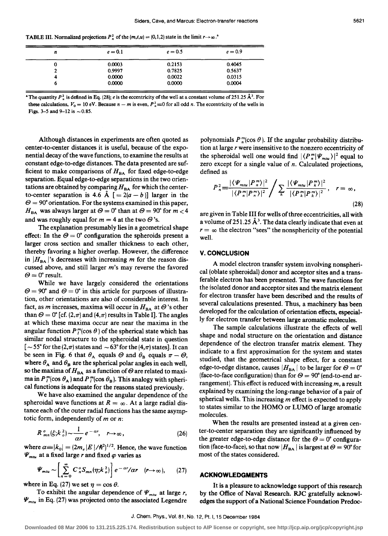TABLE III. Normalized projections  $P_n^2$  of the  $(m,t,u) = (0,1,2)$  state in the limit  $r \rightarrow \infty$ .<sup>8</sup>

| n | $e = 0.1$ | $e = 0.5$ | $e = 0.9$ |
|---|-----------|-----------|-----------|
| 0 | 0.0003    | 0.2153    | 0.4045    |
|   | 0.9997    | 0.7825    | 0.5637    |
| 4 | 0.0000    | 0.0022    | 0.0315    |
| о | 0.0000    | 0.0000    | 0.0004    |

**\***The quantity  $P_1^2$  is defined in Eq. (28); *e* is the eccentricity of the well at a constant volume of 251.25  $\AA^3$ . For these calculations,  $V_0 = 10$  eV. Because  $n - m$  is even,  $P_n^2 \equiv 0$  for all odd *n*. The eccentricity of the wells in Figs. 3-5 and 9-12 is  $\sim$  0.85.

Although distances in experiments are often quoted as center-to-center distances it is useful, because of the exponential decay of the wave functions, to examine the results at constant edge-to-edge distances. The data presented are sufficient to make comparisons of  $H<sub>BA</sub>$  for fixed edge-to-edge separation. Equal edge-to-edge separations in the two orientations are obtained by comparing  $H_{BA}$  for which the centerto-center separation is 4.6 Å  $[ = 2(a - b) ]$  larger in the  $\Theta = 90^{\circ}$  orientation. For the systems examined in this paper,  $H_{BA}$  was always larger at  $\Theta = 0^{\circ}$  than at  $\Theta = 90^{\circ}$  for  $m < 4$ and was roughly equal for  $m = 4$  at the two  $\Theta$ 's.

The explanation presumably lies in a geometrical shape effect: In the  $\Theta = 0^{\circ}$  configuration the spheroids present a larger cross section and smaller thickness to each other, thereby favoring a higher overlap. However, the difference in  $|H_{DA}|$ 's decreases with increasing *m* for the reason discussed above, and still larger *m's* may reverse the favored  $\Theta = 0^{\circ}$  result.

While we have largely considered the orientations  $\Theta = 90^{\circ}$  and  $\Theta = 0^{\circ}$  in this article for purposes of illustration, other orientations are also of considerable interest. In fact, as *m* increases, maxima will occur in  $H_{BA}$  at  $\Theta$ 's other than  $\Theta = 0^{\circ}$  [cf. (2, $\pi$ ) and (4, $\pi$ ) results in Table I]. The angles at which these maxima occur are near the maxima in the angular function  $P_{l}^{m}(\cos \theta)$  of the spherical state which has similar nodal structure to the spheroidal state in question  $\left[ \sim 55^{\circ}$  for the (2, $\pi$ ) states and  $\sim 63^{\circ}$  for the (4, $\pi$ ) states]. It can be seen in Fig. 6 that  $\theta_A$  equals  $\Theta$  and  $\theta_B$  equals  $\pi - \Theta$ , where  $\theta_A$  and  $\theta_B$  are the spherical polar angles in each well, so the maxima of  $H_{BA}$  as a function of  $\Theta$  are related to maxima in  $P_l^m(\cos \theta_A)$  and  $P_l^m(\cos \theta_B)$ . This analogy with spherical functions is adequate for the reasons stated previously.

We have also examined the angular dependence of the spheroidal wave functions at  $R = \infty$ . At a large radial distance each of the outer radial functions has the same asymptotic form, independently of  $m$  or  $n$ :

$$
R_{mn}^{o}(\xi;k_{o}^{2})\sim\frac{1}{\alpha r}e^{-\alpha r},\quad r\rightarrow\infty,
$$
 (26)

where  $a=|k_0| = (2m_e |E|/\hbar^2)^{1/2}$ . Hence, the wave function  $\Psi_{\mu\mu\nu}$  at a fixed large *r* and fixed  $\varphi$  varies as

$$
\Psi_{mu} \sim \left[ \sum_{n=0}^{\infty} C_n^{\circ} S_{mn}(\eta; k_o^2) \right] e^{-\alpha r} / \alpha r \quad (r \to \infty), \qquad (27)
$$

where in Eq. (27) we set  $\eta = \cos \theta$ .

To exhibit the angular dependence of  $\Psi_{\text{min}}$  at large *r*,  $\Psi_{mu}$  in Eq. (27) was projected onto the associated Legendre polynomials  $P_n^m(\cos \theta)$ . If the angular probability distribution at large  $r$  were insensitive to the nonzero eccentricity of the spheroidal well one would find  $|\langle P_n^m|\Psi_{m t} \rangle|^2$  equal to zero except for a single value of *n.* Calculated projections, defined as

$$
P_n^2 = \frac{|\langle \varPsi_{\scriptscriptstyle{mtu}} | P_n^{\scriptscriptstyle{m}} \rangle|^2}{|\langle P_n^{\scriptscriptstyle{m}} | P_n^{\scriptscriptstyle{m}} \rangle|^2} / \sum_k \frac{|\langle \varPsi_{\scriptscriptstyle{mtu}} | P_k^{\scriptscriptstyle{m}} \rangle|^2}{|\langle P_k^{\scriptscriptstyle{m}} | P_k^{\scriptscriptstyle{m}} \rangle|^2}, \quad r = \infty,
$$
\n(28)

are given in Table III for wells of three eccentricities, all with a volume of 251.25  $\AA^3$ . The data clearly indicate that even at  $r = \infty$  the electron "sees" the nonsphericity of the potential well.

### **V. CONCLUSION**

A model electron transfer system involving nonspherical (oblate spheroidal) donor and acceptor sites and a transferable electron has been presented. The wave functions for the isolated donor and acceptor sites and the matrix element for electron transfer have been described and the results of several calculations presented. Thus, a machinery has been developed for the calculation of orientation effects, especially for electron transfer between large aromatic molecules.

The sample calculations illustrate the effects of well shape and nodal structure on the orientation and distance dependence of the electron transfer matrix element. They indicate to a first approximation for the system and states studied, that the geometrical shape effect, for a constant edge-to-edge distance, causes  $|H_{BA}|$  to be larger for  $\Theta=0^\circ$ (face-to-face configuration) than for  $\Theta = 90^{\circ}$  (end-to-end arrangement). This effect is reduced with increasing *m,* a result explained by examining the long-range behavior of a pair of spherical wells. This increasing *m* effect is expected to apply to states similar to the HOMO or LUMO of large aromatic molecules.

When the results are presented instead at a given center-to-center separation they are significantly influenced by the greater edge-to-edge distance for the  $\Theta = 0^{\circ}$  configuration (face-to-face), so that now  $|H_{BA}|$  is largest at  $\Theta = 90^{\circ}$  for most of the states considered.

### **ACKNOWLEDGMENTS**

It is a pleasure to acknowledge support of this research by the Office of Naval Research. RJC gratefully acknowledges the support of a National Science Foundation Predoc-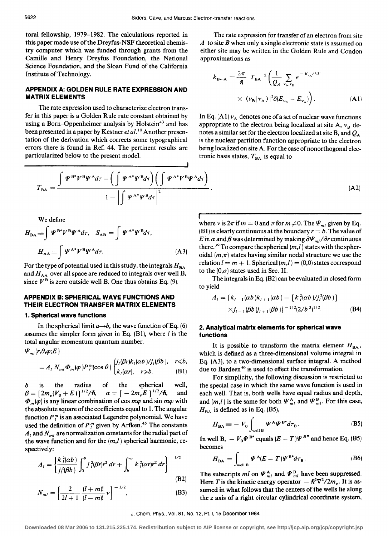# **APPENDIX A: GOLDEN RULE RATE EXPRESSION AND MATRIX ELEMENTS**

The rate expression used to characterize electron transfer in this paper is a Golden Rule rate constant obtained by using a Born-Oppenheimer analysis by  $Holstein^{43}$  and has been presented in a paper by Kestner *et al.*<sup>10</sup> Another presentation of the derivation which corrects some typographical errors there is found in Ref. 44. The pertinent results are particularized below to the present model.

The rate expression for transfer of an electron from site *A* to site *B* when only a single electronic state is assumed on either site may be written in the Golden Rule and Condon approximations as

I

$$
\varepsilon_{\mathbf{B}-\mathbf{A}} = \frac{2\pi}{\hbar} |T_{\mathbf{B}\mathbf{A}}|^2 \left(\frac{1}{Q_A} \sum_{\mathbf{v_A}, \mathbf{v_B}} e^{-E_{\mathbf{v_A}}/kT}\right)
$$

$$
\times |\langle \mathbf{v_B} | \mathbf{v_A} \rangle|^2 \delta(E_{\mathbf{v_B}} - E_{\mathbf{v_A}})\right). \tag{A1}
$$

In Eq.  $(A1)$   $v_A$  denotes one of a set of nuclear wave functions appropriate to the electron being localized at site A,  $v_B$  denotes a similar set for the electron localized at site B, and  $Q_A$ is the nuclear partition function appropriate to the electron being localized on site A. For the case of nonorthogonal electronic basis states,  $T_{BA}$  is equal to

(A2)

$$
T_{BA} = \frac{\int \Psi^{B^*} V^B \Psi^A d\tau - \left(\int \Psi^{A^*} \Psi^B d\tau\right) \left(\int \Psi^{A^*} V^B \Psi^A d\tau\right)}{1 - \left|\int \Psi^{A^*} \Psi^B d\tau\right|^2}.
$$

We define

we define  
\n
$$
H_{BA} \equiv \int \Psi^{B*} V^{B} \Psi^{A} d\tau, \quad S_{AB} = \int \Psi^{A*} \Psi^{B} d\tau,
$$
\n
$$
H_{AA} \equiv \int \Psi^{A*} V^{B} \Psi^{A} d\tau.
$$
\n(A3)

For the type of potential used in this study, the integrals  $H_{BA}$ and  $H_{AA}$  over all space are reduced to integrals over well B, since  $V^B$  is zero outside well B. One thus obtains Eq. (9).

# **APPENDIX B: SPHERICAL WAVE FUNCTIONS AND THEIR ELECTRON TRANSFER MATRIX ELEMENTS**

### **1. Spherical wave functions**

In the spherical limit  $a \rightarrow b$ , the wave function of Eq. (6) assumes the simpler form given in Eq.  $(B1)$ , where *l* is the total angular momentum quantum number.  $\Psi_{ml}(r,\theta,\varphi;E)$ 

$$
=A_{l} N_{ml} \Phi_{m}(\varphi) P_{l}^{m}(\cos \theta) \begin{cases} j_{l}(\beta r)k_{l}(\alpha b)/j_{l}(\beta b), & r \leq b, \\ k_{l}(\alpha r), & r \geq b. \end{cases}
$$
 (B1)

b is the radius of the spherical well,  $\beta = [2m_e(V_0 + E)]^{1/2}/\hbar, \quad \alpha = [-2m_eE]^{1/2}/\hbar, \quad \text{and}$  $\Phi_m(\varphi)$  is any linear combination of cos  $m\varphi$  and sin  $m\varphi$  with the absolute square of the coefficients equal to 1. The angular function  $P_l^m$  is an associated Legendre polynomial. We have used the definition of  $P_l^m$  given by Arfken.<sup>45</sup> The constants  $A_1$  and  $N_{ml}$  are normalization constants for the radial part of the wave function and for the  $(m,l)$  spherical harmonic, respectively:

tively:  
\n
$$
A_{l} = \left\{ \frac{k_{l}^{2}(\alpha b)}{j_{l}^{2}(\beta b)} \int_{0}^{b} j_{l}^{2}(\beta r) r^{2} dr + \int_{b}^{\infty} k_{l}^{2}(\alpha r) r^{2} dr \right\}^{-1/2}
$$
\n(B2)

$$
N_{ml} = \left\{ \frac{2}{2l+1} \frac{(l+m)!}{(l-m)!} v \right\}^{-1/2},
$$
(B3)

where v is  $2\pi$  if  $m = 0$  and  $\pi$  for  $m \neq 0$ . The  $\Psi_{ml}$  given by Eq. (B1) is clearly continuous at the boundary  $r = b$ . The value of E in  $\alpha$  and  $\beta$  was determined by making  $\partial \Psi_{m}/\partial r$  continuous there.<sup>39</sup> To compare the spherical  $(m, l)$  states with the spheroidal  $(m,\pi)$  states having similar nodal structure we use the relation  $l = m + 1$ . Spherical  $(m, l) = (0, 0)$  states correspond to the  $(0,\sigma)$  states used in Sec. II.

The integrals in Eq. (B2) can be evaluated in closed form to yield

$$
A_{i} = \{k_{i-1}(ab)k_{i+1}(ab) - [k_{i}^{2}(ab)/j_{i}^{2}(bb)\]
$$
  
 
$$
\times j_{i-1}(bb)j_{i+1}(bb)\}^{-1/2}(2/b^{3})^{1/2}.
$$
 (B4)

# **2. Analytical matrix elements for spherical wave functions**

It is possible to transform the matrix element  $H_{BA}$ , which is defined as a three-dimensional volume integral in Eq. (A3), to a two-dimensional surface integral. A method due to Bardeen<sup>46</sup> is used to effect the transformation.

For simplicity, the following discussion is restricted to the special case in which the same wave function is used in each well. That is, both wells have equal radius and depth, and  $(m, l)$  is the same for both  $\Psi_{ml}^{\mathbf{A}}$  and  $\Psi_{ml}^{\mathbf{B}}$ . For this case,  $H_{BA}$  is defined as in Eq. (B5),

$$
H_{\text{BA}} \equiv -V_0 \int_{\text{well B}} \Psi^A \Psi^B{}^{\dagger} d\tau_B. \tag{B5}
$$

In well B,  $-V_0 \Psi^{B*}$  equals  $(E-T)\Psi^{B*}$  and hence Eq. (B5) becomes

$$
H_{\rm BA} = \int_{\text{well B}} \Psi^{\rm A} (E - T) \Psi^{\rm B \bullet} d\tau_{\rm B}.
$$
 (B6)

The subscripts ml on  $\Psi_{ml}^{\mathbf{A}}$  and  $\Psi_{ml}^{\mathbf{B}}$  have been suppressed. Here T is the kinetic energy operator  $-\hbar^2 \nabla^2/2m_e$ . It is assumed in what follows that the centers of the wells lie along the *z* axis of a right circular cylindrical coordinate system,

**Downloaded 08 Mar 2006 to 131.215.225.174. Redistribution subject to AIP license or copyright, see http://jcp.aip.org/jcp/copyright.jsp**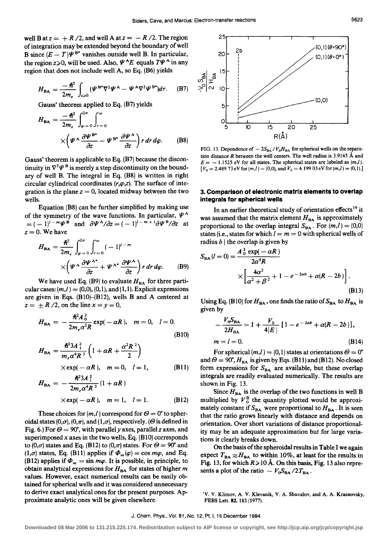well B at  $z = +R/2$ , and well A at  $z = -R/2$ . The region of integration may be extended beyond the boundary of well B since  $(E - T)\Psi^{\text{B*}}$  vanishes outside well B. In particular, the region  $z\ge0$ , will be used. Also,  $\Psi^A E$  equals  $T\Psi^A$  in any region that does not include well A, so Eq. (B6) yields

$$
H_{\text{BA}} = \frac{-\hslash^2}{2m_e} \int_{z>0} (\Psi^{\text{B*}} \nabla^2 \Psi^{\text{A}} - \Psi^{\text{A}} \nabla^2 \Psi^{\text{B*}}) d\tau. \tag{B7}
$$

Gauss' theorem applied to Eq. (B7) yields

$$
H_{BA} = \frac{-\hbar^2}{2m_e} \int_{\varphi=0}^{2\pi} \int_{r=0}^{\infty} \times \left( \Psi^A \frac{\partial \Psi^B}{\partial z} - \Psi^{B^*} \frac{\partial \Psi^A}{\partial z} \right) r \, dr \, d\varphi. \tag{B8}
$$

Gauss' theorem is applicable to Eq. (B7) because the discontinuity in  $\nabla^2 \Psi^B$  is merely a step discontinuity on the boundary of well B. The integral in Eq. (B8) is written in right circular cylindrical coordinates  $(r, \varphi, z)$ . The surface of integration is the plane  $z = 0$ , located midway between the two wells.

Equation (B8) can be further simplified by making use of the symmetry of the wave functions. In particular,  $\Psi^A$  $=(-1)^{1-m}\Psi^B$  and  $\partial \Psi^A/\partial z=(-1)^{1-m+1}\partial \Psi^B/\partial z$  at  $z=0$ . We have

$$
H_{\text{BA}} = \frac{\hbar^2}{2m_e} \int_{\varphi=0}^{2\pi} \int_{r=0}^{\infty} (-1)^{l-m} \times \left( \Psi^A \frac{\partial \Psi^A}{\partial z} + \Psi^{A^*} \frac{\partial \Psi^A}{\partial z} \right) r \, dr \, d\varphi. \tag{B9}
$$

We have used Eq. (B9) to evaluate  $H_{BA}$  for three particular cases:  $(m,l) = (0,0), (0,1),$  and  $(1,1)$ . Explicit expressions are given in Eqs. (B10)-(B12), wells B and A centered at  $z = \pm R/2$ , on the line  $x = y = 0$ ,

$$
H_{\rm BA} = -\frac{\hbar^2 A_0^2}{2m_e \alpha^2 R} \exp(-\alpha R), \quad m = 0, \quad l = 0.
$$
 (B10)

$$
H_{BA} = \frac{\hbar^2 3A \frac{2}{1}}{m_e \alpha^4 R^3} \left( 1 + \alpha R + \frac{\alpha^2 R^2}{2} \right)
$$

 $\times$ exp( $-\alpha R$ ),  $m = 0$ ,  $l = 1$ , (B11)

$$
H_{BA} = -\frac{\hbar^2 3A_{1}^{2}}{2m_{e}\alpha^{4}R^{3}}(1+\alpha R)
$$
  
×exp(-\alpha R),  $m = 1, l = 1.$  (B12)

These choices for  $(m,l)$  correspond for  $\Theta = 0^{\circ}$  to spheroidal states (0, $\sigma$ ), (0, $\pi$ ), and (1, $\sigma$ ), respectively. ( $\Theta$  is defined in Fig. 6.) For  $\Theta = 90^{\circ}$ , with parallel y axes, parallel z axes, and superimposed  $x$  axes in the two wells, Eq. (B10) corresponds to  $(0,\sigma)$  states and Eq. (B12) to  $(0,\pi)$  states. For  $\Theta = 90^\circ$  and  $(1,\sigma)$  states, Eq. (B11) applies if  $\Phi_m(\varphi) = \cos m\varphi$ , and Eq. (B12) applies if  $\Phi_m = \sin m\varphi$ . It is possible, in principle, to obtain analytical expressions for  $H_{BA}$  for states of higher  $m$ values. However, exact numerical results can be easily obtained for spherical wells and it was considered unnecessary to derive exact analytical ones for the present purposes. Approximate analytic ones will be given elsewhere.



FIG. 13. Dependence of  $-2S_{BA}/V_0H_{BA}$  for spherical wells on the separation distance *R* between the well centers. The well radius is 3.9145 A and  $E = -1.1525$  eV for all states. The spherical states are labeled as  $(m,l)$ .  $[V_0 = 2.48973 \text{ eV for } (m,l) = (0,0), \text{ and } V_0 = 4.19903 \text{ eV for } (m,l) = (0,1).]$ 

## **3. Comparison of electronic matrix elements to overlap integrals for spherical wells**

In an earlier theoretical study of orientation effects<sup>19</sup> it was assumed that the matrix element  $H_{BA}$  is approximately proportional to the overlap integral  $S_{BA}$ . For  $(m,l) = (0,0)$ states (i.e., states for which  $l = m = 0$  with spherical wells of radius  $b$ ) the overlap is given by

$$
S_{BA} (l = 0) = \frac{A_0^2 \exp(-\alpha R)}{2\alpha^4 R} \times \left[ \frac{4\alpha^2}{\alpha^2 + \beta^2} + 1 - e^{-2\alpha b} + \alpha (R - 2b) \right].
$$
\n(B13)

Using Eq. (B10) for  $H_{BA}$ , one finds the ratio of  $S_{BA}$  to  $H_{BA}$  is given by

$$
-\frac{V_{o}S_{BA}}{2H_{BA}} = 1 + \frac{V_{o}}{4|E|} [1 - e^{-2ab} + \alpha(R - 2b)],
$$
  
m = l = 0. (B14)

For spherical  $(m, l) = (0, 1)$  states at orientations  $\Theta = 0^{\circ}$ and  $\Theta = 90^\circ$ ,  $H_{BA}$  is given by Eqs. (B11) and (B12). No closed form expressions for  $S_{BA}$  are available, but these overlap integrals are readily evaluated numerically. The results are shown in Fig. 13.

Since  $H_{BA}$  is the overlap of the two functions in well B multiplied by  $V_0^B$  the quantity plotted would be approximately constant if  $S_{BA}$  were proportional to  $H_{BA}$ . It is seen that the ratio grows linearly with distance and depends on orientation. Over short variations of distance proportionality may be an adequate approximation but for large variations it clearly breaks down.

On the basis of the spheroidal results in Table I we again expect  $T_{BA} \approx H_{BA}$  to within 10%, at least for the results in Fig. 13, for which  $R > 10$  Å. On this basis, Fig. 13 also represents a plot of the ratio  $-V_0 S_{BA} / 2T_{BA}$ .

<sup>1</sup>V. V. Klimov, A. V. Klevanik, V. A. Shuvalov, and A. A. Krasnovsky, FEBS Lett. 82, 183 (1977).

#### J. Chem. Phys., Vol. 81, No.12, Pt. I, 15 December 1984